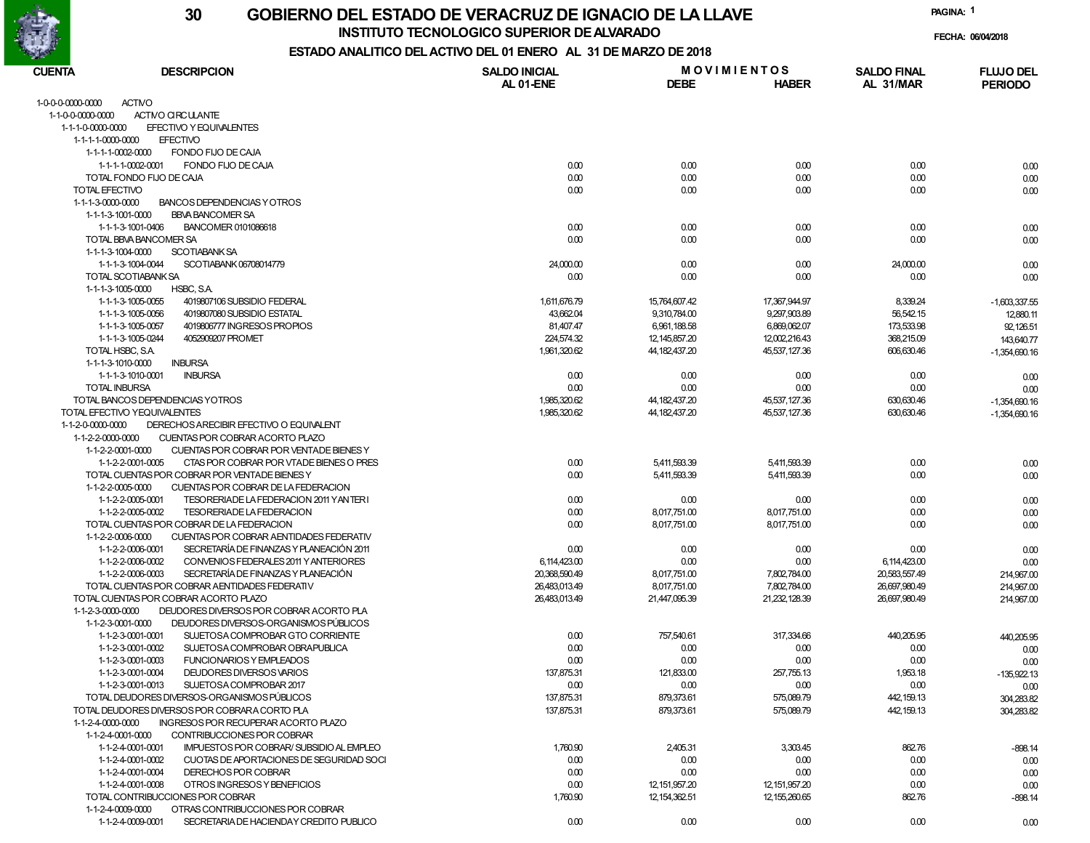

**INSTITUTO TECNOLOGICO SUPERIOR DE ALVARADO**

**PAGINA:1**

**FECHA: 06/04/2018**

| <b>CUENTA</b>        | <b>DESCRIPCION</b>                                                                                                     | <b>SALDO INICIAL</b>          | <b>MOVIMIENTOS</b>           |                              | <b>SALDO FINAL</b>             | <b>FLUJO DEL</b> |
|----------------------|------------------------------------------------------------------------------------------------------------------------|-------------------------------|------------------------------|------------------------------|--------------------------------|------------------|
|                      |                                                                                                                        | AL 01-ENE                     | <b>DEBE</b>                  | <b>HABER</b>                 | AL 31/MAR                      | <b>PERIODO</b>   |
| 1-0-0-0-0000-0000    | <b>ACTMO</b>                                                                                                           |                               |                              |                              |                                |                  |
| 1-1-0-0-0000-0000    | ACTIVO CIRCULANTE                                                                                                      |                               |                              |                              |                                |                  |
| 1-1-1-0-0000-0000    | EFECTIVO Y EQUIVALENTES                                                                                                |                               |                              |                              |                                |                  |
| 1-1-1-1-0000-0000    | <b>EFECTIVO</b>                                                                                                        |                               |                              |                              |                                |                  |
| 1-1-1-1-0002-0000    | FONDO FIJO DE CAJA                                                                                                     |                               |                              |                              |                                |                  |
|                      | FONDO FIJO DE CAJA<br>1-1-1-1-0002-0001                                                                                | 0.00                          | 0.00                         | 0.00                         | 0.00                           | 0.00             |
|                      | TOTAL FONDO FIJO DE CAJA                                                                                               | 0.00                          | 0.00                         | 0.00                         | 0.00                           | 0.00             |
| TOTAL EFECTIVO       |                                                                                                                        | 0.00                          | 0.00                         | 0.00                         | 0.00                           | 0.00             |
| 1-1-1-3-0000-0000    | BANCOS DEPENDENCIAS Y OTROS                                                                                            |                               |                              |                              |                                |                  |
| 1-1-1-3-1001-0000    | <b>BBVA BANCOMER SA</b>                                                                                                |                               |                              |                              |                                |                  |
|                      | 1-1-1-3-1001-0406<br>BANCOMER 0101086618                                                                               | 0.00                          | 0.00                         | 0.00                         | 0.00                           | 0.00             |
| 1-1-1-3-1004-0000    | TOTAL BBVA BANCOMER SA<br><b>SCOTIABANK SA</b>                                                                         | 0.00                          | 0.00                         | 0.00                         | 0.00                           | 0.00             |
|                      | SCOTIABANK 06708014779<br>1-1-1-3-1004-0044                                                                            | 24,000.00                     | 0.00                         | 0.00                         | 24,000.00                      | 0.00             |
|                      | TOTAL SCOTIABANK SA                                                                                                    | 0.00                          | 0.00                         | 0.00                         | 0.00                           | 0.00             |
| 1-1-1-3-1005-0000    | HSBC, S.A.                                                                                                             |                               |                              |                              |                                |                  |
|                      | 1-1-1-3-1005-0055<br>4019807106 SUBSIDIO FEDERAL                                                                       | 1,611,676.79                  | 15,764,607.42                | 17,367,944.97                | 8,339.24                       | $-1,603,337.55$  |
|                      | 1-1-1-3-1005-0056<br>4019807080 SUBSIDIO ESTATAL                                                                       | 43,662.04                     | 9,310,784.00                 | 9,297,903.89                 | 56,542.15                      | 12,880.11        |
|                      | 1-1-1-3-1005-0057<br>4019806777 INGRESOS PROPIOS                                                                       | 81,407.47                     | 6,961,188.58                 | 6,869,062.07                 | 173,533.98                     | 92,126.51        |
|                      | 1-1-1-3-1005-0244<br>4052909207 PROMET                                                                                 | 224,574.32                    | 12, 145, 857. 20             | 12,002,216.43                | 368,215.09                     | 143,640.77       |
| TOTAL HSBC, S.A.     |                                                                                                                        | 1,961,320.62                  | 44, 182, 437. 20             | 45.537.127.36                | 606,630.46                     | $-1,354,690.16$  |
| 1-1-1-3-1010-0000    | <b>INBURSA</b>                                                                                                         |                               |                              |                              |                                |                  |
|                      | 1-1-1-3-1010-0001<br><b>INBURSA</b>                                                                                    | 0.00                          | 0.00                         | 0.00                         | 0.00                           | 0.00             |
| <b>TOTAL INBURSA</b> |                                                                                                                        | 0.00                          | 0.00                         | 0.00                         | 0.00                           | 0.00             |
|                      | TOTAL BANCOS DEPENDENCIAS YOTROS                                                                                       | 1,985,320.62                  | 44, 182, 437. 20             | 45,537,127.36                | 630,630.46                     | $-1,354,690.16$  |
|                      | TOTAL EFECTIVO YEQUIVALENTES                                                                                           | 1,985,320.62                  | 44.182.437.20                | 45,537,127.36                | 630,630.46                     | $-1,354,690.16$  |
| 1-1-2-0-0000-0000    | DERECHOS ARECIBIR EFECTIVO O EQUIVALENT                                                                                |                               |                              |                              |                                |                  |
| 1-1-2-2-0000-0000    | CUENTAS POR COBRAR ACORTO PLAZO                                                                                        |                               |                              |                              |                                |                  |
| 1-1-2-2-0001-0000    | CUENTAS POR COBRAR POR VENTADE BIENES Y                                                                                |                               |                              |                              |                                |                  |
|                      | 1-1-2-2-0001-0005<br>CTAS POR COBRAR POR VTADE BIENES O PRES                                                           | 0.00                          | 5.411.593.39                 | 5,411,593.39                 | 0.00                           | 0.00             |
|                      | TOTAL CUENTAS POR COBRAR POR VENTADE BIENES Y                                                                          | 0.00                          | 5,411,593.39                 | 5,411,593.39                 | 0.00                           | 0.00             |
| 1-1-2-2-0005-0000    | CUENTAS POR COBRAR DE LA FEDERACION                                                                                    |                               |                              |                              |                                |                  |
|                      | 1-1-2-2-0005-0001<br>TESORERIADE LA FEDERACION 2011 YAN TERI                                                           | 0.00                          | 0.00                         | 0.00                         | 0.00                           | 0.00             |
|                      | 1-1-2-2-0005-0002<br>TESORERIADE LA FEDERACION                                                                         | 0.00                          | 8,017,751.00                 | 8,017,751.00                 | 0.00                           | 0.00             |
|                      | TOTAL CUENTAS POR COBRAR DE LA FEDERACION                                                                              | 0.00                          | 8,017,751.00                 | 8,017,751.00                 | 0.00                           | 0.00             |
| 1-1-2-2-0006-0000    | CUENTAS POR COBRAR AENTIDADES FEDERATIV                                                                                |                               |                              |                              |                                |                  |
|                      | SECRETARÍA DE FINANZAS Y PLANEACIÓN 2011<br>1-1-2-2-0006-0001                                                          | 0.00                          | 0.00                         | 0.00                         | 0.00                           | 0.00             |
|                      | 1-1-2-2-0006-0002<br>CONVENIOS FEDERALES 2011 Y ANTERIORES<br>SECRETARÍA DE FINANZAS Y PLANEACIÓN<br>1-1-2-2-0006-0003 | 6,114,423.00<br>20,368,590.49 | 0.00                         | 0.00                         | 6,114,423.00                   | 0.00             |
|                      | TOTAL CUENTAS POR COBRAR AENTIDADES FEDERATIV                                                                          | 26,483,013.49                 | 8,017,751.00<br>8,017,751.00 | 7,802,784.00<br>7,802,784.00 | 20,583,557.49<br>26,697,980.49 | 214,967.00       |
|                      | TOTAL CUENTAS POR COBRAR ACORTO PLAZO                                                                                  | 26,483,013.49                 | 21,447,095.39                | 21,232,128.39                | 26,697,980.49                  | 214,967.00       |
| 1-1-2-3-0000-0000    | DEUDORES DIVERSOS POR COBRAR ACORTO PLA                                                                                |                               |                              |                              |                                | 214,967.00       |
| 1-1-2-3-0001-0000    | DEUDORES DIVERSOS-ORGANISMOS PÚBLICOS                                                                                  |                               |                              |                              |                                |                  |
|                      | 1-1-2-3-0001-0001<br>SUJETOSA COMPROBAR GTO CORRIENTE                                                                  | 0.00                          | 757,540.61                   | 317,334.66                   | 440,205.95                     | 440,205.95       |
|                      | 1-1-2-3-0001-0002<br>SUJETOSA COMPROBAR OBRAPUBLICA                                                                    | 0.00                          | 0.00                         | 0.00                         | 0.00                           | 0.00             |
|                      | 1-1-2-3-0001-0003<br>FUNCIONARIOS Y EMPLEADOS                                                                          | 0.00                          | 0.00                         | 0.00                         | 0.00                           | 0.00             |
|                      | 1-1-2-3-0001-0004<br>DEUDORES DIVERSOS VARIOS                                                                          | 137,875.31                    | 121,833.00                   | 257,755.13                   | 1,953.18                       | $-135,922.13$    |
|                      | 1-1-2-3-0001-0013<br>SUJETOSA COMPROBAR 2017                                                                           | 0.00                          | 0.00                         | 0.00                         | 0.00                           | 0.00             |
|                      | TOTAL DEUDORES DIVERSOS-ORGANISMOS PÚBLICOS                                                                            | 137,875.31                    | 879,373.61                   | 575,089.79                   | 442, 159.13                    | 304,283.82       |
|                      | TOTAL DEUDORES DIVERSOS POR COBRARA CORTO PLA                                                                          | 137,875.31                    | 879,373.61                   | 575,089.79                   | 442, 159.13                    | 304,283.82       |
| 1-1-2-4-0000-0000    | INGRESOS POR RECUPERAR ACORTO PLAZO                                                                                    |                               |                              |                              |                                |                  |
| 1-1-2-4-0001-0000    | CONTRIBUCCIONES POR COBRAR                                                                                             |                               |                              |                              |                                |                  |
|                      | 1-1-2-4-0001-0001<br>IMPUESTOS POR COBRAR/SUBSIDIO AL EMPLEO                                                           | 1,760.90                      | 2,405.31                     | 3,303.45                     | 862.76                         | $-898.14$        |
|                      | 1-1-2-4-0001-0002<br>CUOTAS DE APORTACIONES DE SEGURIDAD SOCI                                                          | 0.00                          | 0.00                         | 0.00                         | 0.00                           | 0.00             |
|                      | 1-1-2-4-0001-0004<br>DERECHOS POR COBRAR                                                                               | 0.00                          | 0.00                         | 0.00                         | 0.00                           | 0.00             |
|                      | 1-1-2-4-0001-0008<br>OTROS INGRESOS Y BENEFICIOS                                                                       | 0.00                          | 12, 151, 957. 20             | 12, 151, 957.20              | 0.00                           | 0.00             |
|                      | TOTAL CONTRIBUCCIONES POR COBRAR                                                                                       | 1,760.90                      | 12, 154, 362.51              | 12, 155, 260. 65             | 862.76                         | $-898.14$        |
| 1-1-2-4-0009-0000    | OTRAS CONTRIBUCCIONES POR COBRAR                                                                                       |                               |                              |                              |                                |                  |
|                      | 1-1-2-4-0009-0001<br>SECRETARIA DE HACIENDAY CREDITO PUBLICO                                                           | 0.00                          | 0.00                         | 0.00                         | 0.00                           | 0.00             |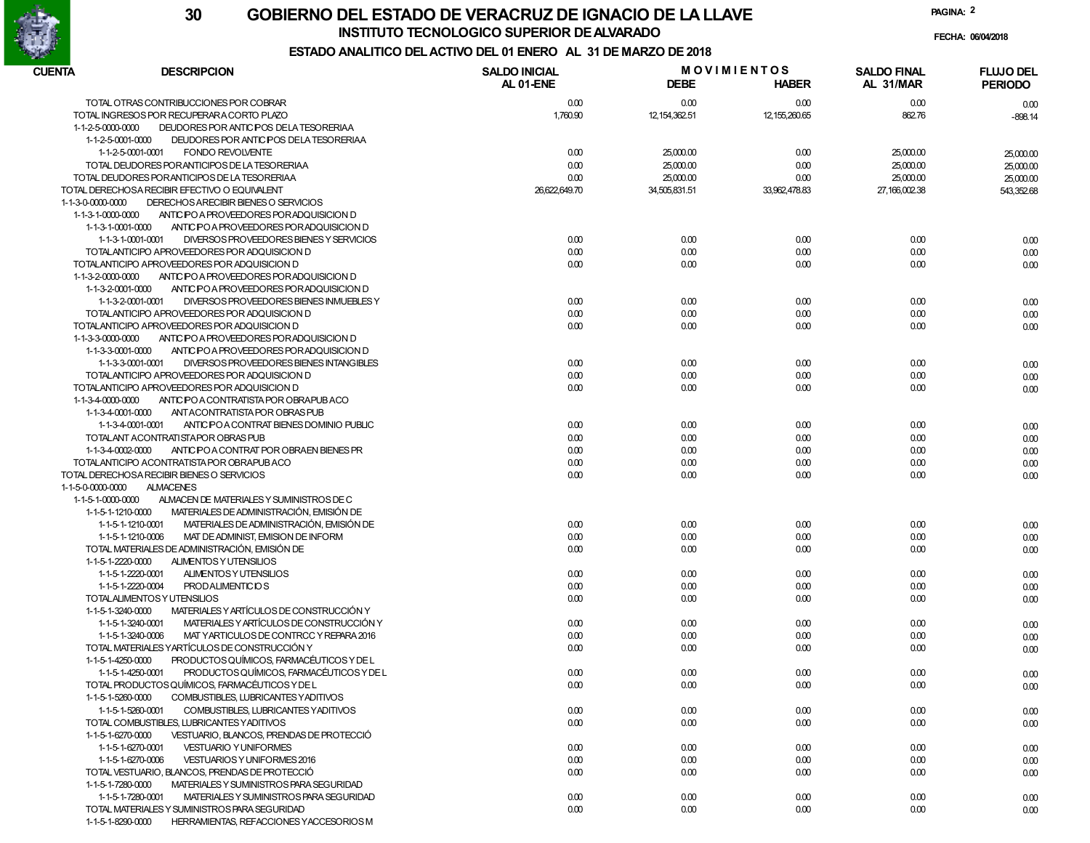

**INSTITUTO TECNOLOGICO SUPERIOR DE ALVARADO**

**PAGINA:2**

**FECHA: 06/04/2018**

| CUENTA<br><b>DESCRIPCION</b>                                                                                  | <b>SALDO INICIAL</b> |                 | <b>MOVIMIENTOS</b> | <b>SALDO FINAL</b> | <b>FLUJO DEL</b> |  |
|---------------------------------------------------------------------------------------------------------------|----------------------|-----------------|--------------------|--------------------|------------------|--|
|                                                                                                               | AL 01-ENE            | <b>DEBE</b>     | <b>HABER</b>       | AL 31/MAR          | <b>PERIODO</b>   |  |
| TOTAL OTRAS CONTRIBUCCIONES POR COBRAR                                                                        | 0.00                 | 0.00            | 0.00               | 0.00               | 0.00             |  |
| TOTAL INGRESOS POR RECUPERARA CORTO PLAZO                                                                     | 1,760.90             | 12, 154, 362.51 | 12,155,260.65      | 862.76             | $-898.14$        |  |
| 1-1-2-5-0000-0000<br>DEUDORES POR ANTIC POS DE LA TESORERIAA                                                  |                      |                 |                    |                    |                  |  |
| 1-1-2-5-0001-0000<br>DEUDORES POR ANTIC POS DE LA TESORERIAA                                                  |                      |                 |                    |                    |                  |  |
| <b>FONDO REVOLVENTE</b><br>1-1-2-5-0001-0001                                                                  | 0.00                 | 25,000.00       | 0.00               | 25,000.00          | 25,000.00        |  |
| TOTAL DEUDORES POR ANTICIPOS DE LA TESORERIAA                                                                 | 0.00                 | 25,000.00       | 0.00               | 25,000.00          | 25,000.00        |  |
| TOTAL DEUDORES POR ANTICIPOS DE LA TESORERIAA                                                                 | 0.00                 | 25,000.00       | 0.00               | 25,000.00          | 25,000.00        |  |
| TOTAL DERECHOSA RECIBIR EFECTIVO O EQUIVALENT                                                                 | 26,622,649.70        | 34,505,831.51   | 33,962,478.83      | 27,166,002.38      | 543,352.68       |  |
| DERECHOS ARECIBIR BIENES O SERVICIOS<br>1-1-3-0-0000-0000                                                     |                      |                 |                    |                    |                  |  |
| 1-1-3-1-0000-0000<br>ANTIC PO A PROVEEDORES POR ADQUISICION D                                                 |                      |                 |                    |                    |                  |  |
| 1-1-3-1-0001-0000<br>ANTIC PO A PROVEEDORES POR ADQUISICION D                                                 |                      |                 |                    |                    |                  |  |
| 1-1-3-1-0001-0001<br>DIVERSOS PROVEEDORES BIENES Y SERVICIOS                                                  | 0.00                 | 0.00            | 0.00               | 0.00               | 0.00             |  |
| TOTALANTICIPO APROVEEDORES POR ADQUISICION D                                                                  | 0.00                 | 0.00            | 0.00               | 0.00               | 0.00             |  |
| TOTALANTICIPO APROVEEDORES POR ADQUISICION D                                                                  | 0.00                 | 0.00            | 0.00               | 0.00               | 0.00             |  |
| 1-1-3-2-0000-0000<br>ANTIC PO A PROVEEDORES POR ADQUISICION D                                                 |                      |                 |                    |                    |                  |  |
| 1-1-3-2-0001-0000<br>ANTIC POA PROVEEDORES PORADQUISICION D                                                   |                      |                 |                    |                    |                  |  |
| 1-1-3-2-0001-0001<br>DIVERSOS PROVEEDORES BIENES INMUEBLES Y                                                  | 0.00                 | 0.00            | 0.00               | 0.00               | 0.00             |  |
| TOTALANTICIPO APROVEEDORES POR ADQUISICION D                                                                  | 0.00                 | 0.00            | 0.00               | 0.00               | 0.00             |  |
| TOTALANTICIPO APROVEEDORES POR ADQUISICION D                                                                  | 0.00                 | 0.00            | 0.00               | 0.00               | 0.00             |  |
| 1-1-3-3-0000-0000<br>ANTIC PO A PROVEEDORES POR ADQUISICION D                                                 |                      |                 |                    |                    |                  |  |
| 1-1-3-3-0001-0000<br>ANTIC PO A PROVEEDORES POR ADQUISICION D                                                 |                      |                 |                    |                    |                  |  |
| 1-1-3-3-0001-0001<br>DIVERSOS PROVEEDORES BIENES INTANGIBLES                                                  | 0.00                 | 0.00            | 0.00               | 0.00               | 0.00             |  |
| TOTALANTICIPO APROVEEDORES POR ADQUISICION D                                                                  | 0.00                 | 0.00            | 0.00               | 0.00               | 0.00             |  |
| TOTALANTICIPO APROVEEDORES POR ADQUISICION D                                                                  | 0.00                 | 0.00            | 0.00               | 0.00               | 0.00             |  |
| 1-1-3-4-0000-0000<br>ANTIC PO A CONTRATISTA POR OBRAPUBACO                                                    |                      |                 |                    |                    |                  |  |
| 1-1-3-4-0001-0000<br>ANT ACONTRATISTA POR OBRAS PUB                                                           |                      |                 |                    |                    |                  |  |
| 1-1-3-4-0001-0001<br>ANTIC PO A CONTRAT BIENES DOMINIO PUBLIC                                                 | 0.00                 | 0.00            | 0.00               | 0.00               | 0.00             |  |
| TOTALANT ACONTRATISTAPOR OBRAS PUB                                                                            | 0.00                 | 0.00            | 0.00               | 0.00               | 0.00             |  |
| ANTIC PO A CONTRAT POR OBRAEN BIENES PR<br>1-1-3-4-0002-0000                                                  | 0.00                 | 0.00            | 0.00               | 0.00               | 0.00             |  |
| TOTALANTICIPO ACONTRATISTA POR OBRAPUBACO                                                                     | 0.00                 | 0.00            | 0.00               | 0.00               | 0.00             |  |
| TOTAL DERECHOSA RECIBIR BIENES O SERVICIOS                                                                    | 0.00                 | 0.00            | 0.00               | 0.00               | 0.00             |  |
| 1-1-5-0-0000-0000<br><b>ALMACENES</b>                                                                         |                      |                 |                    |                    |                  |  |
| 1-1-5-1-0000-0000<br>ALMACEN DE MATERIALES Y SUMINISTROS DE C                                                 |                      |                 |                    |                    |                  |  |
| MATERIALES DE ADMINISTRACIÓN, EMISIÓN DE<br>1-1-5-1-1210-0000                                                 |                      |                 |                    |                    |                  |  |
| MATERIALES DE ADMINISTRACIÓN, EMISIÓN DE<br>1-1-5-1-1210-0001                                                 | 0.00                 | 0.00            | 0.00               | 0.00               | 0.00             |  |
| 1-1-5-1-1210-0006<br>MAT DE ADMINIST, EMISION DE INFORM                                                       | 0.00                 | 0.00            | 0.00               | 0.00               | 0.00             |  |
| TOTAL MATERIALES DE ADMINISTRACIÓN, EMISIÓN DE                                                                | 0.00                 | 0.00            | 0.00               | 0.00               | 0.00             |  |
| ALIMENTOS Y UTENSILIOS<br>1-1-5-1-2220-0000                                                                   |                      |                 |                    |                    |                  |  |
| 1-1-5-1-2220-0001<br>ALIMENTOS Y UTENSILIOS                                                                   | 0.00                 | 0.00            | 0.00               | 0.00               | 0.00             |  |
| 1-1-5-1-2220-0004<br><b>PRODALIMENTICIOS</b>                                                                  | 0.00                 | 0.00            | 0.00               | 0.00               | 0.00             |  |
| TOTALALIMENTOS Y UTENSILIOS                                                                                   | 0.00                 | 0.00            | 0.00               | 0.00               | 0.00             |  |
| MATERIALES Y ARTÍCULOS DE CONSTRUCCIÓN Y<br>1-1-5-1-3240-0000<br>MATERIALES Y ARTÍCULOS DE CONSTRUCCIÓN Y     |                      |                 |                    |                    |                  |  |
| 1-1-5-1-3240-0001                                                                                             | 0.00                 | 0.00            | 0.00               | 0.00               | 0.00             |  |
| MAT YARTICULOS DE CONTRCC Y REPARA 2016<br>1-1-5-1-3240-0006<br>TOTAL MATERIALES YARTÍCULOS DE CONSTRUCCIÓN Y | 0.00                 | 0.00            | 0.00               | 0.00               | 0.00             |  |
| PRODUCTOS QUÍMICOS. FARMACÉUTICOS Y DE L<br>1-1-5-1-4250-0000                                                 | 0.00                 | 0.00            | 0.00               | 0.00               | 0.00             |  |
| PRODUCTOS QUÍMICOS, FARMACÉUTICOS Y DE L<br>1-1-5-1-4250-0001                                                 | 0.00                 | 0.00            | 0.00               | 0.00               |                  |  |
| TOTAL PRODUCTOS QUÍMICOS, FARMACÉUTICOS Y DE L                                                                | 0.00                 | 0.00            | 0.00               | 0.00               | 0.00             |  |
| 1-1-5-1-5260-0000<br>COMBUSTIBLES, LUBRICANTES YADITIVOS                                                      |                      |                 |                    |                    | 0.00             |  |
| 1-1-5-1-5260-0001<br>COMBUSTIBLES, LUBRICANTES YADITIVOS                                                      | 0.00                 | 0.00            | 0.00               | 0.00               |                  |  |
| TOTAL COMBUSTIBLES, LUBRICANTES YADITIVOS                                                                     | 0.00                 | 0.00            | 0.00               | 0.00               | 0.00<br>0.00     |  |
| 1-1-5-1-6270-0000<br>VESTUARIO, BLANCOS, PRENDAS DE PROTECCIÓ                                                 |                      |                 |                    |                    |                  |  |
| 1-1-5-1-6270-0001<br><b>VESTUARIO Y UNIFORMES</b>                                                             | 0.00                 | 0.00            | 0.00               | 0.00               | 0.00             |  |
| 1-1-5-1-6270-0006<br>VESTUARIOS Y UNIFORMES 2016                                                              | 0.00                 | 0.00            | 0.00               | 0.00               | 0.00             |  |
| TOTAL VESTUARIO, BLANCOS, PRENDAS DE PROTECCIÓ                                                                | 0.00                 | 0.00            | 0.00               | 0.00               | 0.00             |  |
| 1-1-5-1-7280-0000<br>MATERIALES Y SUMINISTROS PARA SEGURIDAD                                                  |                      |                 |                    |                    |                  |  |
| 1-1-5-1-7280-0001<br>MATERIALES Y SUMINISTROS PARA SEGURIDAD                                                  | 0.00                 | 0.00            | 0.00               | 0.00               | 0.00             |  |
| TOTAL MATERIALES Y SUMINISTROS PARA SEGURIDAD                                                                 | 0.00                 | 0.00            | 0.00               | 0.00               | 0.00             |  |
| 1-1-5-1-8290-0000<br>HERRAMIENTAS, REFACCIONES YACCESORIOS M                                                  |                      |                 |                    |                    |                  |  |
|                                                                                                               |                      |                 |                    |                    |                  |  |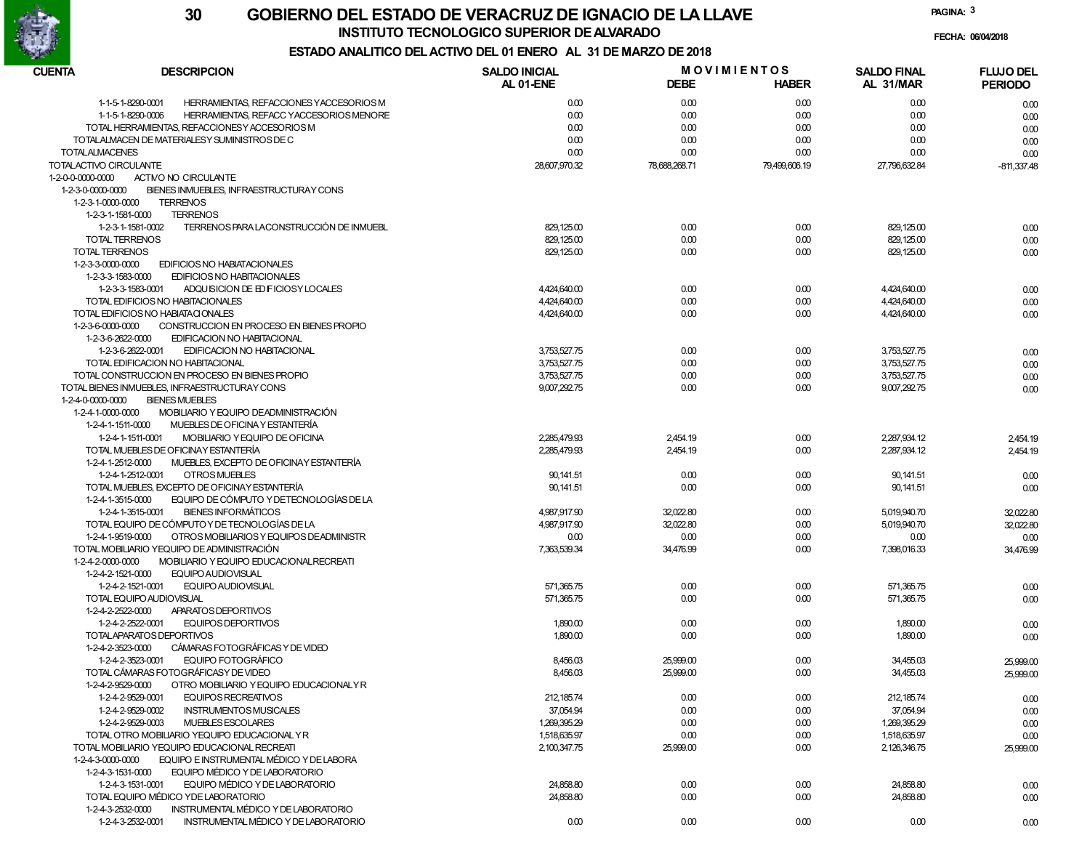

### **GOBIERNO DEL ESTADO DE VERACRUZ DE IGNACIO DE LA LLAVE30INSTITUTO TECNOLOGICO SUPERIOR DE ALVARADO**

**FECHA: 06/04/2018**

**PAGINA:3**

| CUENTA                 | <b>DESCRIPCION</b>                                           | <b>SALDO INICIAL</b> | <b>MOVIMIENTOS</b> |               | <b>SALDO FINAL</b> | <b>FLUJO DEL</b> |  |
|------------------------|--------------------------------------------------------------|----------------------|--------------------|---------------|--------------------|------------------|--|
|                        |                                                              | AL 01-ENE            | <b>DEBE</b>        | <b>HABER</b>  | AL 31/MAR          | <b>PERIODO</b>   |  |
|                        | 1-1-5-1-8290-0001<br>HERRAMIENTAS, REFACCIONES YACCESORIOS M | 0.00                 | 0.00               | 0.00          | 0.00               | 0.00             |  |
|                        | 1-1-5-1-8290-0006<br>HERRAMIENTAS, REFACC YACCESORIOS MENORE | 0.00                 | 0.00               | 0.00          | 0.00               | 0.00             |  |
|                        | TOTAL HERRAMIENTAS, REFACCIONES Y ACCESORIOS M               | 0.00                 | 0.00               | 0.00          | 0.00               | 0.00             |  |
|                        | TOTALALMACEN DE MATERIALESY SUMINISTROS DE C                 | 0.00                 | 0.00               | 0.00          | 0.00               | 0.00             |  |
| <b>TOTALALMACENES</b>  |                                                              | 0.00                 | 0.00               | 0.00          | 0.00               | 0.00             |  |
| TOTALACTIVO CIRCULANTE |                                                              | 28,607,970.32        | 78,688,268.71      | 79,499,606.19 | 27,796,632.84      | $-811,337.48$    |  |
| 1-2-0-0-0000-0000      | ACTIVO NO CIRCULANTE                                         |                      |                    |               |                    |                  |  |
| 1-2-3-0-0000-0000      | BIENES INMUEBLES, INFRAESTRUCTURAY CONS                      |                      |                    |               |                    |                  |  |
| 1-2-3-1-0000-0000      | <b>TERRENOS</b>                                              |                      |                    |               |                    |                  |  |
| 1-2-3-1-1581-0000      | <b>TERRENOS</b>                                              |                      |                    |               |                    |                  |  |
|                        | TERRENOS PARA LACONSTRUCCIÓN DE INMUEBL                      |                      |                    |               |                    |                  |  |
| <b>TOTAL TERRENOS</b>  | 1-2-3-1-1581-0002                                            | 829, 125.00          | 0.00               | 0.00          | 829, 125.00        | 0.00             |  |
|                        |                                                              | 829, 125.00          | 0.00               | 0.00          | 829, 125.00        | 0.00             |  |
| TOTAL TERRENOS         |                                                              | 829, 125.00          | 0.00               | 0.00          | 829, 125.00        | 0.00             |  |
| 1-2-3-3-0000-0000      | EDIFICIOS NO HABIATACIONALES                                 |                      |                    |               |                    |                  |  |
| 1-2-3-3-1583-0000      | EDIFICIOS NO HABITACIONALES                                  |                      |                    |               |                    |                  |  |
|                        | 1-2-3-3-1583-0001<br>ADQUISICION DE ED FICIOSY LOCALES       | 4,424,640.00         | 0.00               | 0.00          | 4,424,640.00       | 0.00             |  |
|                        | TOTAL EDIFICIOS NO HABITACIONALES                            | 4,424,640.00         | 0.00               | 0.00          | 4,424,640.00       | 0.00             |  |
|                        | TOTAL EDIFICIOS NO HABIATA CIONALES                          | 4,424,640.00         | 0.00               | 0.00          | 4,424,640.00       | 0.00             |  |
| 1-2-3-6-0000-0000      | CONSTRUCCION EN PROCESO EN BIENES PROPIO                     |                      |                    |               |                    |                  |  |
| 1-2-3-6-2622-0000      | EDIFICACION NO HABITACIONAL                                  |                      |                    |               |                    |                  |  |
|                        | 1-2-3-6-2622-0001<br>EDIFICACION NO HABITACIONAL             | 3,753,527.75         | 0.00               | 0.00          | 3.753.527.75       | 0.00             |  |
|                        | TOTAL EDIFICACION NO HABITACIONAL                            | 3,753,527.75         | 0.00               | 0.00          | 3,753,527.75       | 0.00             |  |
|                        | TOTAL CONSTRUCCION EN PROCESO EN BIENES PROPIO               | 3,753,527.75         | 0.00               | 0.00          | 3,753,527.75       | 0.00             |  |
|                        | TOTAL BIENES INMUEBLES. INFRAESTRUCTURAY CONS                | 9,007,292.75         | 0.00               | 0.00          | 9,007,292.75       | 0.00             |  |
| 1-2-4-0-0000-0000      | <b>BIENES MUEBLES</b>                                        |                      |                    |               |                    |                  |  |
| 1-2-4-1-0000-0000      | MOBILIARIO Y EQUIPO DEADMINISTRACIÓN                         |                      |                    |               |                    |                  |  |
| 1-2-4-1-1511-0000      | MUEBLES DE OFICINA Y ESTANTERÍA                              |                      |                    |               |                    |                  |  |
|                        | 1-2-4-1-1511-0001<br>MOBILIARIO Y EQUIPO DE OFICINA          | 2,285,479.93         | 2,454.19           | 0.00          | 2,287,934.12       | 2,454.19         |  |
|                        | TOTAL MUEBLES DE OFICINAY ESTANTERÍA                         | 2,285,479.93         | 2,454.19           | 0.00          | 2,287,934.12       | 2,454.19         |  |
| 1-2-4-1-2512-0000      | MUEBLES, EXCEPTO DE OFICINAY ESTANTERÍA                      |                      |                    |               |                    |                  |  |
|                        | 1-2-4-1-2512-0001<br><b>OTROS MUEBLES</b>                    | 90, 141.51           | 0.00               | 0.00          | 90, 141.51         | 0.00             |  |
|                        | TOTAL MUEBLES, EXCEPTO DE OFICINA Y ESTANTERÍA               | 90, 141.51           | 0.00               | 0.00          | 90, 141.51         | 0.00             |  |
| 1-2-4-1-3515-0000      | EQUIPO DE CÓMPUTO Y DETECNOLOGÍAS DE LA                      |                      |                    |               |                    |                  |  |
|                        | <b>BIENES INFORMÁTICOS</b><br>1-2-4-1-3515-0001              | 4,987,917.90         | 32,022.80          | 0.00          | 5,019,940.70       | 32,022.80        |  |
|                        | TOTAL EQUIPO DE CÓMPUTO Y DE TECNOLOGÍAS DE LA               | 4,987,917.90         | 32,022.80          | 0.00          | 5,019,940.70       |                  |  |
|                        |                                                              |                      |                    |               |                    | 32,022.80        |  |
| 1-2-4-1-9519-0000      | OTROS MOBILIARIOS Y EQUIPOS DEADMINISTR                      | 0.00                 | 0.00               | 0.00          | 0.00               | 0.00             |  |
|                        | TOTAL MOBILIARIO YEQUIPO DE ADMINISTRACIÓN                   | 7,363,539.34         | 34,476.99          | 0.00          | 7,398,016.33       | 34,476.99        |  |
| 1-2-4-2-0000-0000      | MOBILIARIO Y EQUIPO EDUCACIONAL RECREATI                     |                      |                    |               |                    |                  |  |
| 1-2-4-2-1521-0000      | EQUIPO AUDIOVISUAL                                           |                      |                    |               |                    |                  |  |
|                        | 1-2-4-2-1521-0001<br><b>EQUIPO AUDIOVISUAL</b>               | 571,365.75           | 0.00               | 0.00          | 571,365.75         | 0.00             |  |
|                        | TOTAL EQUIPO AUDIOVISUAL                                     | 571,365.75           | 0.00               | 0.00          | 571,365.75         | 0.00             |  |
| 1-2-4-2-2522-0000      | APARATOS DEPORTIVOS                                          |                      |                    |               |                    |                  |  |
|                        | 1-2-4-2-2522-0001<br><b>EQUIPOS DEPORTIVOS</b>               | 1,890.00             | 0.00               | 0.00          | 1,890.00           | 0.00             |  |
|                        | TOTALAPARATOS DEPORTIVOS                                     | 1,890.00             | 0.00               | 0.00          | 1,890.00           | 0.00             |  |
| 1-2-4-2-3523-0000      | CÁMARAS FOTOGRÁFICAS Y DE VIDEO                              |                      |                    |               |                    |                  |  |
|                        | EQUIPO FOTOGRÁFICO<br>1-2-4-2-3523-0001                      | 8,456.03             | 25,999.00          | 0.00          | 34,455.03          | 25,999.00        |  |
|                        | TOTAL CÁMARAS FOTOGRÁFICASY DE VIDEO                         | 8,456.03             | 25,999.00          | 0.00          | 34,455.03          | 25,999.00        |  |
| 1-2-4-2-9529-0000      | OTRO MOBILIARIO Y EQUIPO EDUCACIONALY R                      |                      |                    |               |                    |                  |  |
|                        | 1-2-4-2-9529-0001<br>EQUIPOS RECREATIVOS                     | 212, 185.74          | 0.00               | 0.00          | 212, 185.74        | 0.00             |  |
|                        | 1-2-4-2-9529-0002<br><b>INSTRUMENTOS MUSICALES</b>           | 37,054.94            | 0.00               | 0.00          | 37,054.94          | 0.00             |  |
|                        | 1-2-4-2-9529-0003<br>MUEBLES ESCOLARES                       | 1,269,395.29         | 0.00               | 0.00          | 1,269,395.29       | 0.00             |  |
|                        | TOTAL OTRO MOBILIARIO YEQUIPO EDUCACIONAL YR                 | 1,518,635.97         | 0.00               | 0.00          | 1,518,635.97       | 0.00             |  |
|                        | TOTAL MOBILIARIO YEQUIPO EDUCACIONAL RECREATI                | 2,100,347.75         | 25,999.00          | 0.00          | 2,126,346.75       | 25,999.00        |  |
| 1-2-4-3-0000-0000      | EQUIPO E INSTRUMENTAL MÉDICO Y DE LABORA                     |                      |                    |               |                    |                  |  |
| 1-2-4-3-1531-0000      | EQUIPO MÉDICO Y DE LABORATORIO                               |                      |                    |               |                    |                  |  |
|                        | 1-2-4-3-1531-0001<br>EQUIPO MÉDICO Y DE LABORATORIO          | 24,858.80            | 0.00               | 0.00          | 24,858.80          | 0.00             |  |
|                        | TOTAL EQUIPO MÉDICO YDE LABORATORIO                          | 24,858.80            | 0.00               | 0.00          | 24,858.80          | 0.00             |  |
| 1-2-4-3-2532-0000      | INSTRUMENTAL MÉDICO Y DE LABORATORIO                         |                      |                    |               |                    |                  |  |
|                        | 1-2-4-3-2532-0001<br>INSTRUMENTAL MÉDICO Y DE LABORATORIO    | 0.00                 | 0.00               | 0.00          | 0.00               | 0.00             |  |
|                        |                                                              |                      |                    |               |                    |                  |  |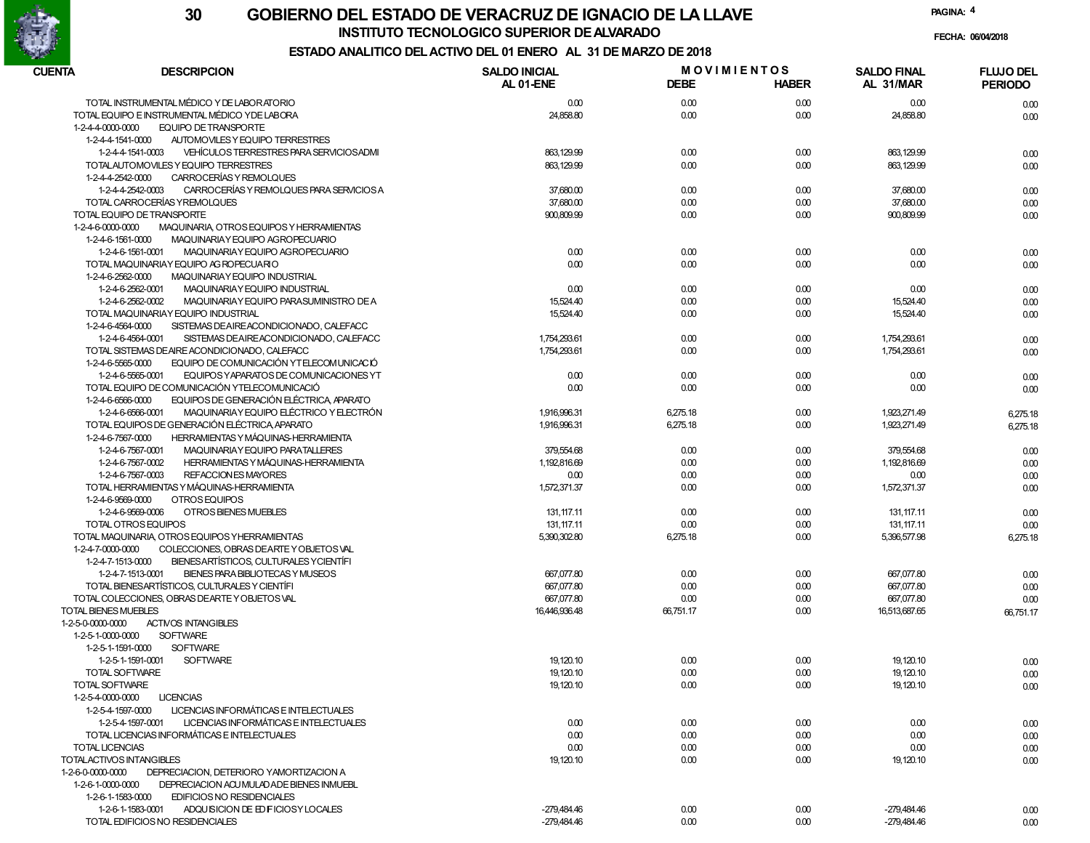

### **GOBIERNO DEL ESTADO DE VERACRUZ DE IGNACIO DE LA LLAVE30INSTITUTO TECNOLOGICO SUPERIOR DE ALVARADO**

**FECHA: 06/04/2018**

### **ESTADO ANALITICO DEL ACTIVO DEL 01 ENERO AL 31 DE MARZO DE 2018**

| CUENTA<br><b>DESCRIPCION</b>                                              | <b>SALDO INICIAL</b><br>AL 01-ENE | <b>DEBE</b> | <b>MOVIMIENTOS</b><br><b>HABER</b> | <b>SALDO FINAL</b><br>AL 31/MAR | <b>FLUJO DEL</b><br><b>PERIODO</b> |
|---------------------------------------------------------------------------|-----------------------------------|-------------|------------------------------------|---------------------------------|------------------------------------|
| TOTAL INSTRUMENTAL MÉDICO Y DE LABORATORIO                                | 0.00                              | 0.00        | 0.00                               | 0.00                            | 0.00                               |
| TOTAL EQUIPO E INSTRUMENTAL MÉDICO Y DE LABORA                            | 24,858.80                         | 0.00        | 0.00                               | 24,858.80                       | 0.00                               |
| <b>EQUIPO DE TRANSPORTE</b><br>1-2-4-4-0000-0000                          |                                   |             |                                    |                                 |                                    |
| AUTOMOVILES Y EQUIPO TERRESTRES<br>1-2-4-4-1541-0000                      |                                   |             |                                    |                                 |                                    |
| VEHÍCULOS TERRESTRES PARA SERVICIOS ADMI<br>1-2-4-4-1541-0003             | 863, 129.99                       | 0.00        | 0.00                               | 863.129.99                      | 0.00                               |
| TOTALAUTOMOVILES Y EQUIPO TERRESTRES                                      | 863, 129.99                       | 0.00        | 0.00                               | 863, 129.99                     | 0.00                               |
| CARROCERÍAS Y REMOLQUES<br>1-2-4-4-2542-0000                              |                                   |             |                                    |                                 |                                    |
| CARROCERÍAS Y REMOLQUES PARA SERVICIOS A<br>1-2-4-4-2542-0003             | 37,680.00                         | 0.00        | 0.00                               | 37,680.00                       | 0.00                               |
| TOTAL CARROCERÍAS YREMOLQUES                                              | 37,680.00                         | 0.00        | 0.00                               | 37,680.00                       | 0.00                               |
| TOTAL EQUIPO DE TRANSPORTE                                                | 900,809.99                        | 0.00        | 0.00                               | 900,809.99                      | 0.00                               |
| $1 - 2 - 4 - 6 - 0000 - 0000$<br>MAQUINARIA, OTROS EQUIPOS Y HERRAMIENTAS |                                   |             |                                    |                                 |                                    |
| 1-2-4-6-1561-0000<br>MAQUINARIAY EQUIPO AGROPECUARIO                      |                                   |             |                                    |                                 |                                    |
| 1-2-4-6-1561-0001<br>MAQUINARIA Y EQUIPO AGROPECUARIO                     | 0.00                              | 0.00        | 0.00                               | 0.00                            | 0.00                               |
| TOTAL MAQUINARIA Y EQUIPO AG ROPECUARIO                                   | 0.00                              | 0.00        | 0.00                               | 0.00                            | 0.00                               |
| 1-2-4-6-2562-0000<br>MAQUINARIAY EQUIPO INDUSTRIAL                        |                                   |             |                                    |                                 |                                    |
| 1-2-4-6-2562-0001<br>MAQUINARIAY EQUIPO INDUSTRIAL                        | 0.00                              | 0.00        | 0.00                               | 0.00                            | 0.00                               |
| 1-2-4-6-2562-0002<br>MAQUINARIAY EQUIPO PARASUMINISTRO DE A               | 15,524.40                         | 0.00        | 0.00                               | 15,524.40                       | 0.00                               |
| TOTAL MAQUINARIAY EQUIPO INDUSTRIAL                                       | 15,524.40                         | 0.00        | 0.00                               | 15,524.40                       | 0.00                               |
| SISTEMAS DE AIREACONDICIONADO, CALEFACC<br>1-2-4-6-4564-0000              |                                   |             |                                    |                                 |                                    |
| 1-2-4-6-4564-0001<br>SISTEMAS DE AIREACONDICIONADO, CALEFACC              | 1,754,293.61                      | 0.00        | 0.00                               | 1,754,293.61                    | 0.00                               |
| TOTAL SISTEMAS DE AIRE ACONDICIONADO, CALEFACC                            | 1,754,293.61                      | 0.00        | 0.00                               | 1,754,293.61                    | 0.00                               |
| EQUIPO DE COMUNICACIÓN YTELECOMUNICACIÓ<br>1-2-4-6-5565-0000              |                                   |             |                                    |                                 |                                    |
| EQUIPOS Y APARATOS DE COMUNICACIONES YT<br>1-2-4-6-5565-0001              | 0.00                              | 0.00        | 0.00                               | 0.00                            | 0.00                               |
| TOTAL EQUIPO DE COMUNICACIÓN YTELECOMUNICACIÓ                             | 0.00                              | 0.00        | 0.00                               | 0.00                            | 0.00                               |
| EQUIPOS DE GENERACIÓN ELÉCTRICA APARATO<br>1-2-4-6-6566-0000              |                                   |             |                                    |                                 |                                    |
| MAQUINARIA Y EQUIPO ELÉCTRICO Y ELECTRÓN<br>1-2-4-6-6566-0001             | 1,916,996.31                      | 6,275.18    | 0.00                               | 1.923.271.49                    | 6,275.18                           |
| TOTAL EQUIPOS DE GENERACIÓN ELÉCTRICA, APARATO                            | 1,916,996.31                      | 6,275.18    | 0.00                               | 1,923,271.49                    | 6,275.18                           |
| 1-2-4-6-7567-0000<br><b>HERRAMIENTAS Y MÁQUINAS-HERRAMIENTA</b>           |                                   |             |                                    |                                 |                                    |
| MAQUINARIAY EQUIPO PARATALLERES<br>1-2-4-6-7567-0001                      | 379,554.68                        | 0.00        | 0.00                               | 379,554.68                      | 0.00                               |
| 1-2-4-6-7567-0002<br>HERRAMIENTAS Y MÁQUINAS-HERRAMIENTA                  | 1,192,816.69                      | 0.00        | 0.00                               | 1,192,816.69                    | 0.00                               |
| REFACCIONES MAYORES<br>1-2-4-6-7567-0003                                  | 0.00                              | 0.00        | 0.00                               | 0.00                            | 0.00                               |
| TOTAL HERRAMIENTAS Y MÁQUINAS-HERRAMIENTA                                 | 1,572,371.37                      | 0.00        | 0.00                               | 1,572,371.37                    | 0.00                               |
| OTROS EQUIPOS<br>1-2-4-6-9569-0000                                        |                                   |             |                                    |                                 |                                    |
| OTROS BIENES MUEBLES<br>1-2-4-6-9569-0006                                 | 131, 117.11                       | 0.00        | 0.00                               | 131, 117.11                     | 0.00                               |
| TOTAL OTROS EQUIPOS                                                       | 131, 117.11                       | 0.00        | 0.00                               | 131, 117.11                     | 0.00                               |
| TOTAL MAQUINARIA, OTROS EQUIPOS YHERRAMIENTAS                             | 5,390,302.80                      | 6,275.18    | 0.00                               | 5,396,577.98                    | 6,275.18                           |
| COLECCIONES, OBRAS DEARTE YOBJETOS VAL<br>1-2-4-7-0000-0000               |                                   |             |                                    |                                 |                                    |
| 1-2-4-7-1513-0000<br>BIENES ARTÍSTICOS, CULTURALES Y CIENTÍFI             |                                   |             |                                    |                                 |                                    |
| 1-2-4-7-1513-0001<br>BIENES PARA BIBLIOTECAS Y MUSEOS                     | 667,077.80                        | 0.00        | 0.00                               | 667,077.80                      | 0.00                               |
| TOTAL BIENES ARTÍSTICOS, CULTURALES Y CIENTÍFI                            | 667,077.80                        | 0.00        | 0.00                               | 667,077.80                      | 0.00                               |
| TOTAL COLECCIONES, OBRAS DEARTEY OBJETOS VAL                              | 667,077.80                        | 0.00        | 0.00                               | 667,077.80                      | 0.00                               |
| <b>TOTAL BIENES MUEBLES</b>                                               | 16,446,936.48                     | 66,751.17   | 0.00                               | 16,513,687.65                   | 66,751.17                          |
| <b>ACTIVOS INTANGIBLES</b><br>1-2-5-0-0000-0000                           |                                   |             |                                    |                                 |                                    |
| <b>SOFTWARE</b><br>1-2-5-1-0000-0000                                      |                                   |             |                                    |                                 |                                    |
| 1-2-5-1-1591-0000<br><b>SOFTWARE</b>                                      |                                   |             |                                    |                                 |                                    |
| 1-2-5-1-1591-0001<br><b>SOFTWARE</b>                                      | 19, 120.10                        | 0.00        | 0.00                               | 19, 120.10                      | 0.00                               |
| TOTAL SOFTWARE                                                            | 19.120.10                         | 0.00        | 0.00                               | 19.120.10                       | 0.00                               |
| TOTAL SOFTWARE                                                            | 19, 120.10                        | 0.00        | 0.00                               | 19, 120.10                      | 0.00                               |
| 1-2-5-4-0000-0000<br><b>LICENCIAS</b>                                     |                                   |             |                                    |                                 |                                    |
| 1-2-5-4-1597-0000<br>LICENCIAS INFORMÁTICAS E INTELECTUALES               |                                   |             |                                    |                                 |                                    |
| LICENCIAS INFORMÁTICAS E INTELECTUALES<br>1-2-5-4-1597-0001               | 0.00                              | 0.00        | 0.00                               | 0.00                            | 0.00                               |
| TOTAL LICENCIAS INFORMÁTICAS E INTELECTUALES                              | 0.00                              | 0.00        | 0.00                               | 0.00                            | 0.00                               |
| <b>TOTAL LICENCIAS</b>                                                    | 0.00                              | 0.00        | 0.00                               | 0.00                            | 0.00                               |
| TOTALACTIVOS INTANGIBLES                                                  | 19, 120.10                        | 0.00        | 0.00                               | 19, 120.10                      | 0.00                               |
| 1-2-6-0-0000-0000<br>DEPRECIACION, DETERIORO YAMORTIZACION A              |                                   |             |                                    |                                 |                                    |
| 1-2-6-1-0000-0000<br>DEPRECIACION ACU MULADA DE BIENES INMUEBL            |                                   |             |                                    |                                 |                                    |
| 1-2-6-1-1583-0000<br><b>EDIFICIOS NO RESIDENCIALES</b>                    |                                   |             |                                    |                                 |                                    |
| 1-2-6-1-1583-0001<br>ADQUISICION DE ED FICIOSY LOCALES                    | -279,484.46                       | 0.00        | 0.00                               | -279,484.46                     | 0.00                               |
| TOTAL EDIFICIOS NO RESIDENCIALES                                          | -279,484.46                       | 0.00        | 0.00                               | -279,484.46                     | 0.00                               |
|                                                                           |                                   |             |                                    |                                 |                                    |

**PAGINA:4**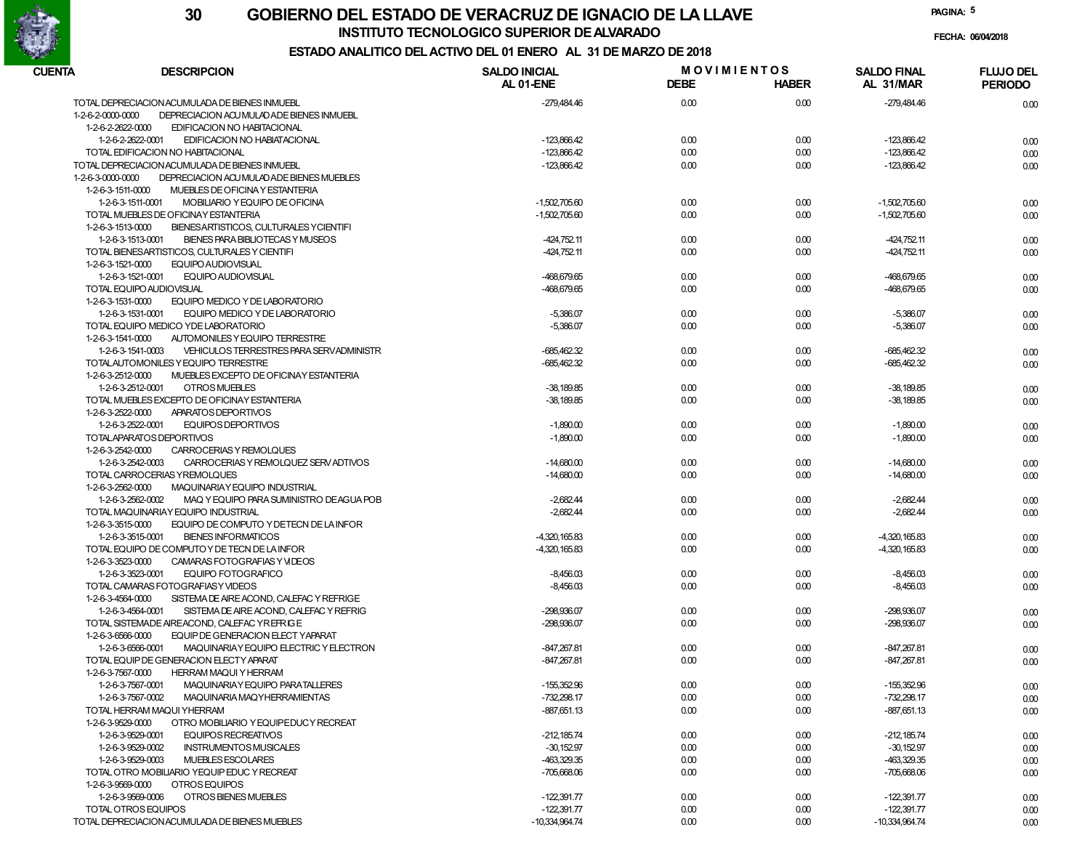

**INSTITUTO TECNOLOGICO SUPERIOR DE ALVARADO**

**PAGINA:5**

**FECHA: 06/04/2018**

| CUENTA              | <b>DESCRIPCION</b>                             | <b>SALDO INICIAL</b> | <b>MOVIMIENTOS</b> |              | <b>SALDO FINAL</b> | <b>FLUJO DEL</b> |
|---------------------|------------------------------------------------|----------------------|--------------------|--------------|--------------------|------------------|
|                     |                                                | AL 01-ENE            | <b>DEBE</b>        | <b>HABER</b> | AL 31/MAR          | <b>PERIODO</b>   |
|                     | TOTAL DEPRECIACION ACUMULADA DE BIENES INMUEBL | -279,484.46          | 0.00               | 0.00         | -279,484.46        | 0.00             |
| 1-2-6-2-0000-0000   | DEPRECIACION ACU MULAD ADE BIENES INMUEBL      |                      |                    |              |                    |                  |
| 1-2-6-2-2622-0000   | EDIFICACION NO HABITACIONAL                    |                      |                    |              |                    |                  |
| 1-2-6-2-2622-0001   | EDIFICACION NO HABIATACIONAL                   | -123,866.42          | 0.00               | 0.00         | -123,866.42        | 0.00             |
|                     | TOTAL EDIFICACION NO HABITACIONAL              | $-123,866.42$        | 0.00               | 0.00         | -123,866.42        | 0.00             |
|                     | TOTAL DEPRECIACION ACUMULADA DE BIENES INMUEBL | $-123,866.42$        | 0.00               | 0.00         | -123,866.42        | 0.00             |
| 1-2-6-3-0000-0000   | DEPRECIACION ACU MULADADE BIENES MUEBLES       |                      |                    |              |                    |                  |
| 1-2-6-3-1511-0000   | MUEBLES DE OFICINA Y ESTANTERIA                |                      |                    |              |                    |                  |
| 1-2-6-3-1511-0001   | MOBILIARIO Y EQUIPO DE OFICINA                 | $-1,502,705.60$      | 0.00               | 0.00         | $-1.502.705.60$    | 0.00             |
|                     | TOTAL MUEBLES DE OFICINAY ESTANTERIA           | $-1,502,705.60$      | 0.00               | 0.00         | $-1,502,705.60$    | 0.00             |
| 1-2-6-3-1513-0000   | BIENESARTISTICOS, CULTURALES YCIENTIFI         |                      |                    |              |                    |                  |
| 1-2-6-3-1513-0001   | BIENES PARA BIBLIOTECAS Y MUSEOS               | $-424,752.11$        | 0.00               | 0.00         | $-424,752.11$      | 0.00             |
|                     | TOTAL BIENES ARTISTICOS, CULTURALES Y CIENTIFI | $-424,752.11$        | 0.00               | 0.00         | $-424,752.11$      |                  |
| 1-2-6-3-1521-0000   | EQUIPO AUDIOVISUAL                             |                      |                    |              |                    | 0.00             |
|                     |                                                |                      |                    |              |                    |                  |
| 1-2-6-3-1521-0001   | <b>EQUIPO AUDIOVISUAL</b>                      | -468,679.65          | 0.00               | 0.00         | -468,679.65        | 0.00             |
|                     | TOTAL EQUIPO AUDIOVISUAL                       | -468,679.65          | 0.00               | 0.00         | -468,679.65        | 0.00             |
| 1-2-6-3-1531-0000   | EQUIPO MEDICO Y DE LABORATORIO                 |                      |                    |              |                    |                  |
| 1-2-6-3-1531-0001   | EQUIPO MEDICO Y DE LABORATORIO                 | $-5,386.07$          | 0.00               | 0.00         | $-5,386.07$        | 0.00             |
|                     | TOTAL EQUIPO MEDICO YDE LABORATORIO            | $-5,386.07$          | 0.00               | 0.00         | $-5,386.07$        | 0.00             |
| 1-2-6-3-1541-0000   | AUTOMONILES Y EQUIPO TERRESTRE                 |                      |                    |              |                    |                  |
| 1-2-6-3-1541-0003   | VEHICULOS TERRESTRES PARA SERVADMINISTR        | -685,462.32          | 0.00               | 0.00         | $-685,462.32$      | 0.00             |
|                     | TOTALAUTOMONILES Y EQUIPO TERRESTRE            | -685,462.32          | 0.00               | 0.00         | $-685,462.32$      | 0.00             |
| 1-2-6-3-2512-0000   | MUEBLES EXCEPTO DE OFICINAY ESTANTERIA         |                      |                    |              |                    |                  |
| 1-2-6-3-2512-0001   | <b>OTROS MUEBLES</b>                           | $-38,189.85$         | 0.00               | 0.00         | $-38,189.85$       | 0.00             |
|                     | TOTAL MUEBLES EXCEPTO DE OFICINAY ESTANTERIA   | $-38,189.85$         | 0.00               | 0.00         | $-38,189.85$       | 0.00             |
| 1-2-6-3-2522-0000   | APARATOS DEPORTIVOS                            |                      |                    |              |                    |                  |
| 1-2-6-3-2522-0001   | <b>EQUIPOS DEPORTIVOS</b>                      | $-1,890.00$          | 0.00               | 0.00         | $-1,890.00$        | 0.00             |
|                     | TOTALAPARATOS DEPORTIVOS                       | $-1,890.00$          | 0.00               | 0.00         | $-1,890.00$        | 0.00             |
| 1-2-6-3-2542-0000   | CARROCERIAS Y REMOLQUES                        |                      |                    |              |                    |                  |
| 1-2-6-3-2542-0003   | CARROCERIAS Y REMOLQUEZ SERV ADTIVOS           | $-14,680.00$         | 0.00               | 0.00         | $-14,680.00$       | 0.00             |
|                     | TOTAL CARROCERIAS YREMOLQUES                   | $-14,680.00$         | 0.00               | 0.00         | $-14,680.00$       | 0.00             |
| 1-2-6-3-2562-0000   | MAQUINARIAY EQUIPO INDUSTRIAL                  |                      |                    |              |                    |                  |
| 1-2-6-3-2562-0002   | MAQ Y EQUIPO PARA SUMINISTRO DEAGUA POB        | $-2,682.44$          | 0.00               | 0.00         | $-2,682.44$        | 0.00             |
|                     | TOTAL MAQUINARIAY EQUIPO INDUSTRIAL            | $-2,682.44$          | 0.00               | 0.00         | $-2,682.44$        | 0.00             |
| 1-2-6-3-3515-0000   | EQUIPO DE COMPUTO Y DETECN DE LA INFOR         |                      |                    |              |                    |                  |
| 1-2-6-3-3515-0001   | <b>BIENES INFORMATICOS</b>                     | $-4,320,165.83$      | 0.00               | 0.00         | $-4,320,165.83$    | 0.00             |
|                     | TOTAL EQUIPO DE COMPUTO Y DE TECN DE LA INFOR  | -4,320,165.83        | 0.00               | 0.00         | $-4,320,165.83$    |                  |
| 1-2-6-3-3523-0000   | CAMARAS FOTOGRAFIAS Y VIDEOS                   |                      |                    |              |                    | 0.00             |
| 1-2-6-3-3523-0001   | EQUIPO FOTOGRAFICO                             | $-8,456.03$          | 0.00               | 0.00         | $-8,456.03$        |                  |
|                     |                                                |                      |                    | 0.00         |                    | 0.00             |
|                     | TOTAL CAMARAS FOTOGRAFIASY VIDEOS              | $-8,456.03$          | 0.00               |              | $-8,456.03$        | 0.00             |
| 1-2-6-3-4564-0000   | SISTEMA DE AIRE ACOND. CALEFAC Y REFRIGE       |                      |                    |              |                    |                  |
| 1-2-6-3-4564-0001   | SISTEMA DE AIRE ACOND. CALEFAC Y REFRIG        | -298,936.07          | 0.00               | 0.00         | -298,936.07        | 0.00             |
|                     | TOTAL SISTEMADE AIREACOND, CALEFAC YREFRIGE    | -298,936.07          | 0.00               | 0.00         | -298,936.07        | 0.00             |
| 1-2-6-3-6566-0000   | EQUIP DE GENERACION ELECT YAPARAT              |                      |                    |              |                    |                  |
| 1-2-6-3-6566-0001   | MAQUINARIAY EQUIPO ELECTRIC Y ELECTRON         | -847,267.81          | 0.00               | 0.00         | $-847,267.81$      | 0.00             |
|                     | TOTAL EQUIP DE GENERACION ELECTY APARAT        | -847,267.81          | 0.00               | 0.00         | $-847,267.81$      | 0.00             |
| 1-2-6-3-7567-0000   | <b>HERRAM MAQUI Y HERRAM</b>                   |                      |                    |              |                    |                  |
| 1-2-6-3-7567-0001   | MAQUINARIAY EQUIPO PARATALLERES                | $-155,352.96$        | 0.00               | 0.00         | -155,352.96        | 0.00             |
| 1-2-6-3-7567-0002   | MAQUINARIA MAQYHERRAMIENTAS                    | $-732,298.17$        | 0.00               | 0.00         | -732,298.17        | 0.00             |
|                     | TOTAL HERRAM MAQUI YHERRAM                     | -887,651.13          | 0.00               | 0.00         | $-887,651.13$      | 0.00             |
| 1-2-6-3-9529-0000   | OTRO MOBILIARIO Y EQUIPEDUC Y RECREAT          |                      |                    |              |                    |                  |
| 1-2-6-3-9529-0001   | EQUIPOS RECREATIVOS                            | $-212,185.74$        | 0.00               | 0.00         | $-212,185.74$      | 0.00             |
| 1-2-6-3-9529-0002   | <b>INSTRUMENTOS MUSICALES</b>                  | $-30,152.97$         | 0.00               | 0.00         | $-30,152.97$       | 0.00             |
| 1-2-6-3-9529-0003   | MUEBLES ESCOLARES                              | -463,329.35          | 0.00               | 0.00         | $-463,329.35$      | 0.00             |
|                     | TOTAL OTRO MOBILIARIO YEQUIP EDUC Y RECREAT    | $-705,668.06$        | 0.00               | 0.00         | $-705,668.06$      | 0.00             |
| 1-2-6-3-9569-0000   | OTROS EQUIPOS                                  |                      |                    |              |                    |                  |
| 1-2-6-3-9569-0006   | OTROS BIENES MUEBLES                           | $-122,391.77$        | 0.00               | 0.00         | $-122,391.77$      | 0.00             |
| TOTAL OTROS EQUIPOS |                                                | $-122,391.77$        | 0.00               | 0.00         | $-122,391.77$      | 0.00             |
|                     | TOTAL DEPRECIACION ACUMULADA DE BIENES MUEBLES | -10,334,964.74       | 0.00               | 0.00         | -10,334,964.74     | 0.00             |
|                     |                                                |                      |                    |              |                    |                  |